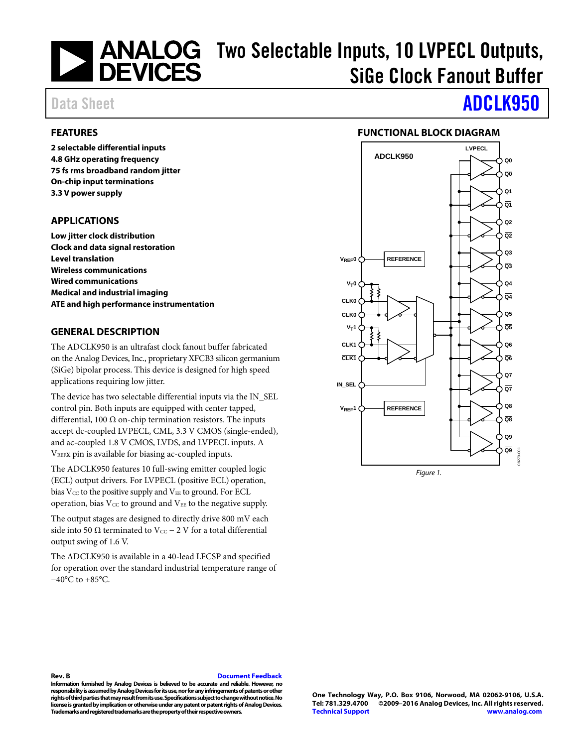# Two Selectable Inputs, 10 LVPECL Outputs, SiGe Clock Fanout Buffer

### <span id="page-0-0"></span>**FEATURES**

**2 selectable differential inputs 4.8 GHz operating frequency 75 fs rms broadband random jitter On-chip input terminations 3.3 V power supply** 

### <span id="page-0-1"></span>**APPLICATIONS**

**Low jitter clock distribution Clock and data signal restoration Level translation Wireless communications Wired communications Medical and industrial imaging ATE and high performance instrumentation** 

### <span id="page-0-2"></span>**GENERAL DESCRIPTION**

The ADCLK950 is an ultrafast clock fanout buffer fabricated on the Analog Devices, Inc., proprietary XFCB3 silicon germanium (SiGe) bipolar process. This device is designed for high speed applications requiring low jitter.

The device has two selectable differential inputs via the IN\_SEL control pin. Both inputs are equipped with center tapped, differential, 100  $\Omega$  on-chip termination resistors. The inputs accept dc-coupled LVPECL, CML, 3.3 V CMOS (single-ended), and ac-coupled 1.8 V CMOS, LVDS, and LVPECL inputs. A VREFx pin is available for biasing ac-coupled inputs.

<span id="page-0-4"></span>The ADCLK950 features 10 full-swing emitter coupled logic (ECL) output drivers. For LVPECL (positive ECL) operation, bias  $V_{CC}$  to the positive supply and  $V_{EE}$  to ground. For ECL operation, bias  $V_{CC}$  to ground and  $V_{EE}$  to the negative supply.

The output stages are designed to directly drive 800 mV each side into 50 Ω terminated to Vcc – 2 V for a total differential output swing of 1.6 V.

The ADCLK950 is available in a 40-lead LFCSP and specified for operation over the standard industrial temperature range of −40°C to +85°C.

# Data Sheet **[ADCLK950](http://www.analog.com/adclk950?doc=adclk950.pdf)**

### **FUNCTIONAL BLOCK DIAGRAM**

<span id="page-0-3"></span>

#### **Rev. B [Document Feedback](https://form.analog.com/Form_Pages/feedback/documentfeedback.aspx?doc=ADCLK950.pdf&product=ADCLK950%20&rev=B)**

**Information furnished by Analog Devices is believed to be accurate and reliable. However, no responsibility is assumed by Analog Devices for its use, nor for any infringements of patents or other rights of third parties that may result from its use. Specifications subject to change without notice. No license is granted by implication or otherwise under any patent or patent rights of Analog Devices. Trademarks and registered trademarks are the property of their respective owners.**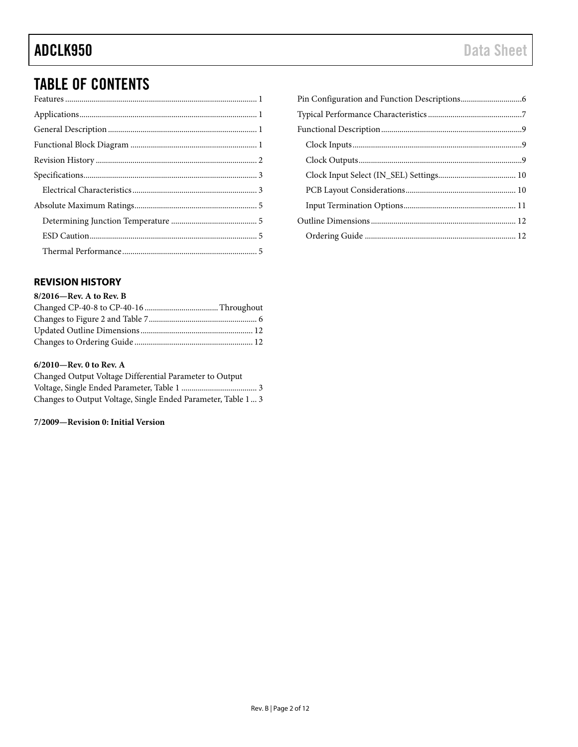## TABLE OF CONTENTS

### <span id="page-1-0"></span>**REVISION HISTORY**

### **8/2016—Rev. A to Rev. B**

### **6/2010—Rev. 0 to Rev. A**

| Changed Output Voltage Differential Parameter to Output      |  |
|--------------------------------------------------------------|--|
|                                                              |  |
| Changes to Output Voltage, Single Ended Parameter, Table 1 3 |  |

### **7/2009—Revision 0: Initial Version**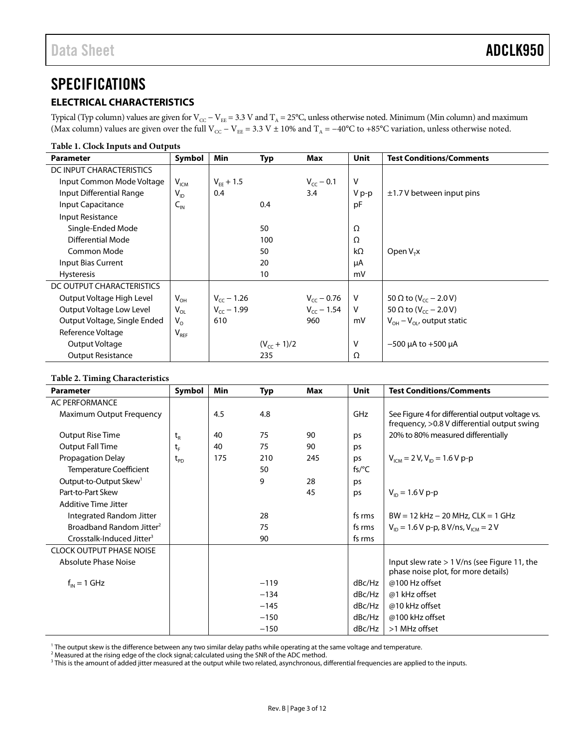### <span id="page-2-0"></span>**SPECIFICATIONS**

### <span id="page-2-1"></span>**ELECTRICAL CHARACTERISTICS**

Typical (Typ column) values are given for V $_{\rm CC}$  – V $_{\rm EE}$  = 3.3 V and T<sub>A</sub> = 25°C, unless otherwise noted. Minimum (Min column) and maximum (Max column) values are given over the full V<sub>CC</sub> – V<sub>EE</sub> = 3.3 V ± 10% and T<sub>A</sub> = –40°C to +85°C variation, unless otherwise noted.

#### **Table 1. Clock Inputs and Outputs**

| <b>Parameter</b>             | Symbol          | Min             | <b>Typ</b>       | Max             | Unit         | <b>Test Conditions/Comments</b>          |
|------------------------------|-----------------|-----------------|------------------|-----------------|--------------|------------------------------------------|
| DC INPUT CHARACTERISTICS     |                 |                 |                  |                 |              |                                          |
| Input Common Mode Voltage    | $V_{ICM}$       | $V_{FF} + 1.5$  |                  | $V_{cc}$ – 0.1  | $\vee$       |                                          |
| Input Differential Range     | $V_{ID}$        | 0.4             |                  | 3.4             | V p-p        | $\pm$ 1.7 V between input pins           |
| <b>Input Capacitance</b>     | $C_{\text{IN}}$ |                 | 0.4              |                 | pF           |                                          |
| Input Resistance             |                 |                 |                  |                 |              |                                          |
| Single-Ended Mode            |                 |                 | 50               |                 | Ω            |                                          |
| Differential Mode            |                 |                 | 100              |                 | Ω            |                                          |
| Common Mode                  |                 |                 | 50               |                 | $k\Omega$    | Open $VTx$                               |
| Input Bias Current           |                 |                 | 20               |                 | μA           |                                          |
| <b>Hysteresis</b>            |                 |                 | 10               |                 | mV           |                                          |
| DC OUTPUT CHARACTERISTICS    |                 |                 |                  |                 |              |                                          |
| Output Voltage High Level    | $V_{OH}$        | $V_{cc}$ – 1.26 |                  | $V_{CC}$ – 0.76 | V            | 50 $\Omega$ to (V <sub>cc</sub> – 2.0 V) |
| Output Voltage Low Level     | $V_{OL}$        | $V_{cc}$ – 1.99 |                  | $V_{cc}$ – 1.54 | $\mathsf{V}$ | 50 $\Omega$ to (V <sub>cc</sub> – 2.0 V) |
| Output Voltage, Single Ended | $V_{O}$         | 610             |                  | 960             | mV           | $V_{OH} - V_{OH}$ , output static        |
| Reference Voltage            | $V_{REF}$       |                 |                  |                 |              |                                          |
| Output Voltage               |                 |                 | $(V_{cc} + 1)/2$ |                 | V            | $-500$ µA to $+500$ µA                   |
| <b>Output Resistance</b>     |                 |                 | 235              |                 | Ω            |                                          |

#### **Table 2. Timing Characteristics**

| <b>Parameter</b>                      | Symbol                                       | <b>Min</b> | Typ    | Max | <b>Unit</b> | <b>Test Conditions/Comments</b>                                                                 |
|---------------------------------------|----------------------------------------------|------------|--------|-----|-------------|-------------------------------------------------------------------------------------------------|
| <b>AC PERFORMANCE</b>                 |                                              |            |        |     |             |                                                                                                 |
| Maximum Output Frequency              |                                              | 4.5        | 4.8    |     | GHz         | See Figure 4 for differential output voltage vs.<br>frequency, >0.8 V differential output swing |
| <b>Output Rise Time</b>               | $\mathsf{t}_{\scriptscriptstyle \mathsf{R}}$ | 40         | 75     | 90  | ps          | 20% to 80% measured differentially                                                              |
| <b>Output Fall Time</b>               | t,                                           | 40         | 75     | 90  | ps          |                                                                                                 |
| <b>Propagation Delay</b>              | $t_{\text{\tiny{PD}}}$                       | 175        | 210    | 245 | ps          | $V_{\text{ICM}}$ = 2 V, V <sub>ID</sub> = 1.6 V p-p                                             |
| Temperature Coefficient               |                                              |            | 50     |     | $fs$ /°C    |                                                                                                 |
| Output-to-Output Skew <sup>1</sup>    |                                              |            | 9      | 28  | ps          |                                                                                                 |
| Part-to-Part Skew                     |                                              |            |        | 45  | ps          | $V_{\text{in}} = 1.6 V p-p$                                                                     |
| Additive Time Jitter                  |                                              |            |        |     |             |                                                                                                 |
| Integrated Random Jitter              |                                              |            | 28     |     | fs rms      | $BW = 12 kHz - 20 MHz$ , $CLK = 1 GHz$                                                          |
| Broadband Random Jitter <sup>2</sup>  |                                              |            | 75     |     | fs rms      | $V_{\text{ID}} = 1.6 V p-p$ , 8 V/ns, $V_{\text{ICM}} = 2 V$                                    |
| Crosstalk-Induced Jitter <sup>3</sup> |                                              |            | 90     |     | fs rms      |                                                                                                 |
| <b>CLOCK OUTPUT PHASE NOISE</b>       |                                              |            |        |     |             |                                                                                                 |
| Absolute Phase Noise                  |                                              |            |        |     |             | Input slew rate $> 1$ V/ns (see Figure 11, the<br>phase noise plot, for more details)           |
| $f_{IN} = 1$ GHz                      |                                              |            | $-119$ |     | dBc/Hz      | @100 Hz offset                                                                                  |
|                                       |                                              |            | $-134$ |     | dBc/Hz      | @1 kHz offset                                                                                   |
|                                       |                                              |            | $-145$ |     | dBc/Hz      | @10 kHz offset                                                                                  |
|                                       |                                              |            | $-150$ |     | dBc/Hz      | @100 kHz offset                                                                                 |
|                                       |                                              |            | $-150$ |     | dBc/Hz      | >1 MHz offset                                                                                   |

<sup>1</sup> The output skew is the difference between any two similar delay paths while operating at the same voltage and temperature.

 $^2$  Measured at the rising edge of the clock signal; calculated using the SNR of the ADC method.

 $^3$  This is the amount of added jitter measured at the output while two related, asynchronous, differential frequencies are applied to the inputs.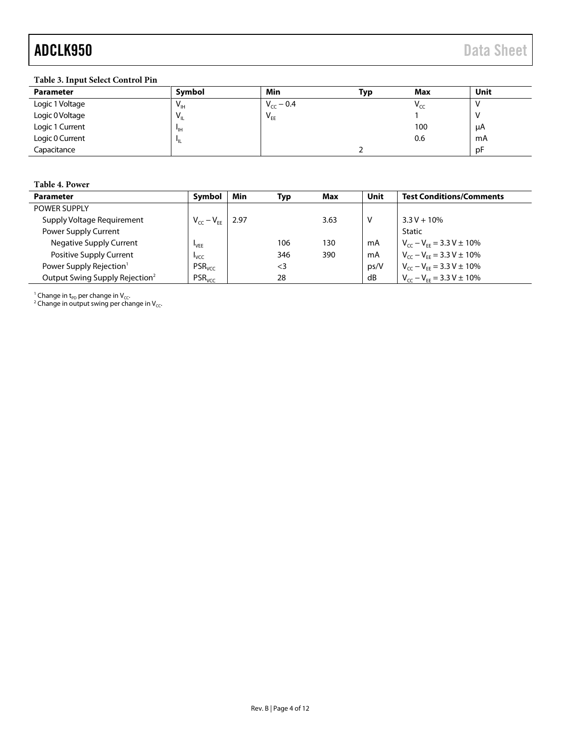# ADCLK950 Data Sheet

### **Table 3. Input Select Control Pin**

| <b>Parameter</b> | Symbol          | Min            | Тур | Max                        | Unit |
|------------------|-----------------|----------------|-----|----------------------------|------|
| Logic 1 Voltage  | $V_{\text{IH}}$ | $V_{cc}$ – 0.4 |     | $\mathsf{V}_{\mathsf{CC}}$ |      |
| Logic 0 Voltage  | $V_{\rm H}$     | $V_{EE}$       |     |                            |      |
| Logic 1 Current  | ЧH              |                |     | 100                        | μA   |
| Logic 0 Current  |                 |                |     | 0.6                        | mA   |
| Capacitance      |                 |                |     |                            | рF   |

#### **Table 4. Power**

| Parameter                                  | Symbol             | Min   | Typ      | Max  | Unit | <b>Test Conditions/Comments</b>    |
|--------------------------------------------|--------------------|-------|----------|------|------|------------------------------------|
| POWER SUPPLY                               |                    |       |          |      |      |                                    |
| Supply Voltage Requirement                 | $V_{CC} - V_{EE}$  | -2.97 |          | 3.63 | V    | $3.3 V + 10\%$                     |
| Power Supply Current                       |                    |       |          |      |      | Static                             |
| <b>Negative Supply Current</b>             | <sup>I</sup> VEE   |       | 106      | 130  | mA   | $V_{cc} - V_{EF} = 3.3 V \pm 10\%$ |
| Positive Supply Current                    | <b>L</b> vcc       |       | 346      | 390  | mA   | $V_{cc} - V_{FF} = 3.3 V \pm 10\%$ |
| Power Supply Rejection <sup>1</sup>        | PSR <sub>VCC</sub> |       | $\leq$ 3 |      | ps/V | $V_{cc} - V_{FF} = 3.3 V \pm 10\%$ |
| Output Swing Supply Rejection <sup>2</sup> | PSR <sub>VCC</sub> |       | 28       |      | dB   | $V_{cc} - V_{FE} = 3.3 V \pm 10\%$ |

<sup>1</sup> Change in t<sub>PD</sub> per change in V<sub>CC</sub>.<br><sup>2</sup> Change in output swing per change in V<sub>CC</sub>.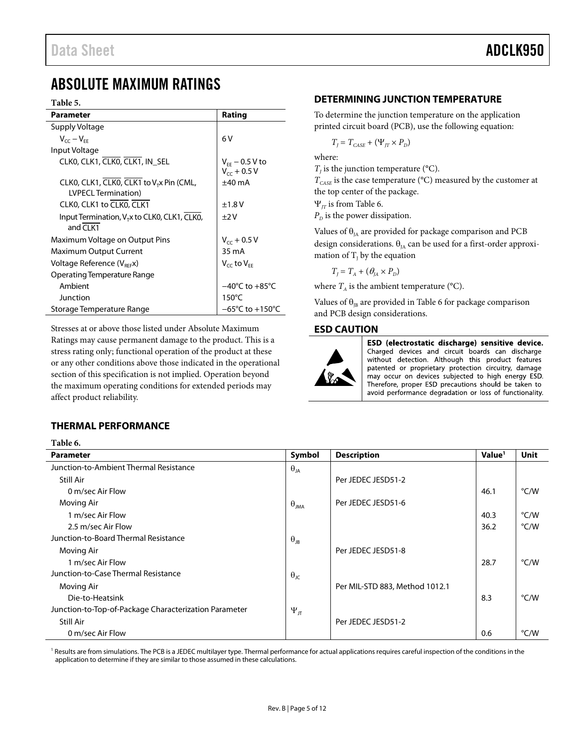### <span id="page-4-0"></span>ABSOLUTE MAXIMUM RATINGS

#### **Table 5.**

| <b>Parameter</b>                                                            | Rating                                  |
|-----------------------------------------------------------------------------|-----------------------------------------|
| Supply Voltage                                                              |                                         |
| $V_{cc} - V_{FF}$                                                           | 6 V                                     |
| Input Voltage                                                               |                                         |
| CLKO, CLK1, CLKO, CLK1, IN_SEL                                              | $V_{FF}$ – 0.5 V to<br>$V_{cc}$ + 0.5 V |
| CLK0, CLK1, CLK0, CLK1 to V <sub>T</sub> x Pin (CML,<br>LVPECL Termination) | $±40$ mA                                |
| CLK0, CLK1 to CLK0, CLK1                                                    | ±1.8V                                   |
| Input Termination, V <sub>T</sub> x to CLK0, CLK1, CLK0,<br>and $CI K1$     | $+2V$                                   |
| Maximum Voltage on Output Pins                                              | $V_{cr}$ + 0.5 V                        |
| Maximum Output Current                                                      | 35 mA                                   |
| Voltage Reference (V <sub>BEE</sub> X)                                      | $V_{cc}$ to $V_{FE}$                    |
| Operating Temperature Range                                                 |                                         |
| Ambient                                                                     | $-40^{\circ}$ C to $+85^{\circ}$ C      |
| Junction                                                                    | $150^{\circ}$ C                         |
| Storage Temperature Range                                                   | $-65^{\circ}$ C to $+150^{\circ}$ C     |

Stresses at or above those listed under Absolute Maximum Ratings may cause permanent damage to the product. This is a stress rating only; functional operation of the product at these or any other conditions above those indicated in the operational section of this specification is not implied. Operation beyond the maximum operating conditions for extended periods may affect product reliability.

### <span id="page-4-1"></span>**DETERMINING JUNCTION TEMPERATURE**

To determine the junction temperature on the application printed circuit board (PCB), use the following equation:

$$
T_{J} = T_{CASE} + (\Psi_{JT} \times P_{D})
$$

where:

 $T<sub>i</sub>$  is the junction temperature (°C).

 $T_{\text{CASE}}$  is the case temperature ( $\text{°C}$ ) measured by the customer at the top center of the package.

Ψ*JT* is from [Table 6.](#page-4-4)

 $P<sub>D</sub>$  is the power dissipation.

Values of  $\theta_{IA}$  are provided for package comparison and PCB design considerations.  $\theta_{IA}$  can be used for a first-order approximation of  $T_1$  by the equation

$$
T_{J}=T_{A}+(\theta_{JA}\times P_{D})
$$

where  $T_A$  is the ambient temperature ( $\textdegree$ C).

Values of  $\theta_{IB}$  are provided i[n Table 6](#page-4-4) for package comparison and PCB design considerations.

### <span id="page-4-2"></span>**ESD CAUTION**



ESD (electrostatic discharge) sensitive device. Charged devices and circuit boards can discharge without detection. Although this product features patented or proprietary protection circuitry, damage may occur on devices subjected to high energy ESD. Therefore, proper ESD precautions should be taken to avoid performance degradation or loss of functionality.

### <span id="page-4-3"></span>**THERMAL PERFORMANCE**

<span id="page-4-4"></span>**Table 6.** 

| ruvic vi                                              |                      |                                |                    |      |
|-------------------------------------------------------|----------------------|--------------------------------|--------------------|------|
| <b>Parameter</b>                                      | Symbol               | <b>Description</b>             | Value <sup>1</sup> | Unit |
| Junction-to-Ambient Thermal Resistance                | $\theta_{JA}$        |                                |                    |      |
| Still Air                                             |                      | Per JEDEC JESD51-2             |                    |      |
| 0 m/sec Air Flow                                      |                      |                                | 46.1               | °C/W |
| Moving Air                                            | $\theta_{JMA}$       | Per JEDEC JESD51-6             |                    |      |
| 1 m/sec Air Flow                                      |                      |                                | 40.3               | °C/W |
| 2.5 m/sec Air Flow                                    |                      |                                | 36.2               | °C/W |
| Junction-to-Board Thermal Resistance                  | $\theta_{JB}$        |                                |                    |      |
| Moving Air                                            |                      | Per JEDEC JESD51-8             |                    |      |
| 1 m/sec Air Flow                                      |                      |                                | 28.7               | °C/W |
| Junction-to-Case Thermal Resistance                   | $\theta_{\text{JC}}$ |                                |                    |      |
| Moving Air                                            |                      | Per MIL-STD 883, Method 1012.1 |                    |      |
| Die-to-Heatsink                                       |                      |                                | 8.3                | °C/W |
| Junction-to-Top-of-Package Characterization Parameter | $\Psi_{JT}$          |                                |                    |      |
| Still Air                                             |                      | Per JEDEC JESD51-2             |                    |      |
| 0 m/sec Air Flow                                      |                      |                                | 0.6                | °C/W |

<sup>1</sup> Results are from simulations. The PCB is a JEDEC multilayer type. Thermal performance for actual applications requires careful inspection of the conditions in the application to determine if they are similar to those assumed in these calculations.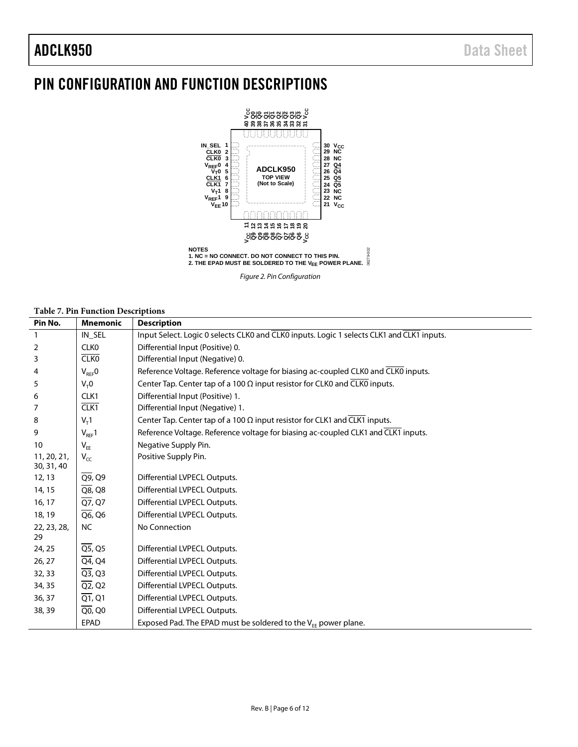### ADCLK950 Data Sheet

### <span id="page-5-0"></span>PIN CONFIGURATION AND FUNCTION DESCRIPTIONS



*Figure 2. Pin Configuration*

### **Table 7. Pin Function Descriptions**

| Pin No.                   | <b>Mnemonic</b>                  | <b>Description</b>                                                                        |
|---------------------------|----------------------------------|-------------------------------------------------------------------------------------------|
| $\mathbf{1}$              | IN SEL                           | Input Select. Logic 0 selects CLK0 and CLK0 inputs. Logic 1 selects CLK1 and CLK1 inputs. |
| $\overline{2}$            | <b>CLKO</b>                      | Differential Input (Positive) 0.                                                          |
| 3                         | <b>CLKO</b>                      | Differential Input (Negative) 0.                                                          |
| 4                         | $V_{REF}$ O                      | Reference Voltage. Reference voltage for biasing ac-coupled CLK0 and CLK0 inputs.         |
| 5                         | $V_T 0$                          | Center Tap. Center tap of a 100 $\Omega$ input resistor for CLK0 and CLK0 inputs.         |
| 6                         | CLK1                             | Differential Input (Positive) 1.                                                          |
| 7                         | CLK1                             | Differential Input (Negative) 1.                                                          |
| 8                         | $V_T$ 1                          | Center Tap. Center tap of a 100 $\Omega$ input resistor for CLK1 and CLK1 inputs.         |
| 9                         | $V_{REF}1$                       | Reference Voltage. Reference voltage for biasing ac-coupled CLK1 and CLK1 inputs.         |
| 10                        | $V_{EE}$                         | Negative Supply Pin.                                                                      |
| 11, 20, 21,<br>30, 31, 40 | $V_{CC}$                         | Positive Supply Pin.                                                                      |
| 12, 13                    | $\overline{Q9}$ , $Q9$           | Differential LVPECL Outputs.                                                              |
| 14, 15                    | $\overline{Q8}$ , $Q8$           | Differential LVPECL Outputs.                                                              |
| 16, 17                    | $\overline{Q7}$ , Q7             | Differential LVPECL Outputs.                                                              |
| 18, 19                    | $\overline{Q6}$ , Q <sub>6</sub> | Differential LVPECL Outputs.                                                              |
| 22, 23, 28,<br>29         | <b>NC</b>                        | No Connection                                                                             |
| 24, 25                    | $\overline{QS}$ , Q5             | Differential LVPECL Outputs.                                                              |
| 26, 27                    | $\overline{Q4}$ , Q4             | Differential LVPECL Outputs.                                                              |
| 32, 33                    | $\overline{Q3}$ , Q3             | Differential LVPECL Outputs.                                                              |
| 34, 35                    | $\overline{Q2}$ , Q <sub>2</sub> | Differential LVPECL Outputs.                                                              |
| 36, 37                    | $\overline{Q1}$ , Q1             | Differential LVPECL Outputs.                                                              |
| 38, 39                    | $\overline{Q0}$ , Q0             | Differential LVPECL Outputs.                                                              |
|                           | <b>EPAD</b>                      | Exposed Pad. The EPAD must be soldered to the $V_{EE}$ power plane.                       |
|                           |                                  |                                                                                           |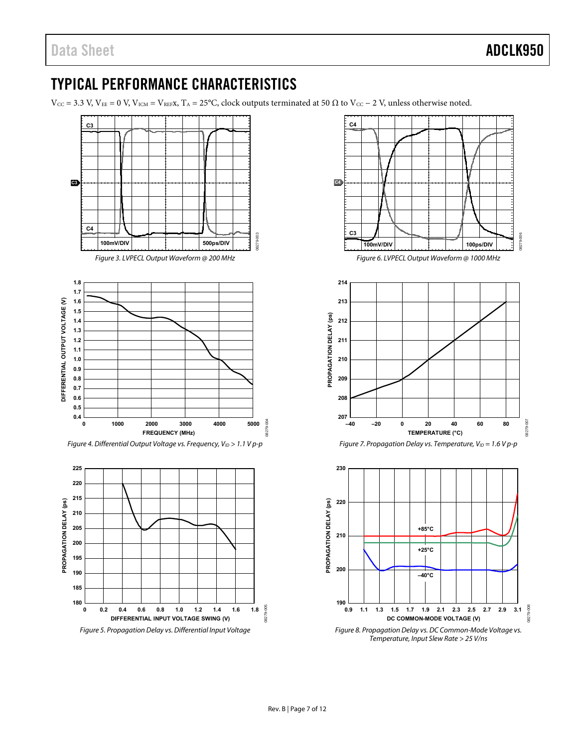### <span id="page-6-0"></span>TYPICAL PERFORMANCE CHARACTERISTICS

 $V_{\text{CC}} = 3.3 \text{ V}, V_{\text{EE}} = 0 \text{ V}, V_{\text{ICM}} = V_{\text{REFX}}, T_A = 25^{\circ}\text{C}, \text{clock outputs terminated at 50 } \Omega \text{ to } V_{\text{CC}} - 2 \text{ V}, \text{unless otherwise noted.}$ 

<span id="page-6-1"></span>



Figure 8. Propagation Delay vs. DC Common-Mode Voltage vs. Temperature, Input Slew Rate > 25 V/ns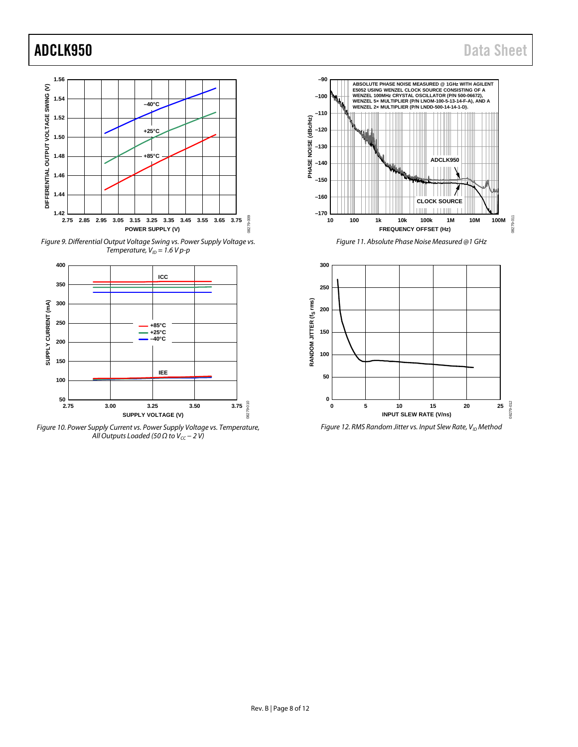### ADCLK950 Data Sheet



*Figure 9. Differential Output Voltage Swing vs. Power Supply Voltage vs. Temperature,*  $V_{ID} = 1.6 Vp-p$ 



*Figure 10. Power Supply Current vs. Power Supply Voltage vs. Temperature, All Outputs Loaded (50 Ω to*  $V_{cc}$  *– 2 V)* 



*Figure 11. Absolute Phase Noise Measured @1 GHz*

<span id="page-7-0"></span>

<span id="page-7-1"></span>*Figure 12. RMS Random Jitter vs. Input Slew Rate, V<sub>ID</sub> Method*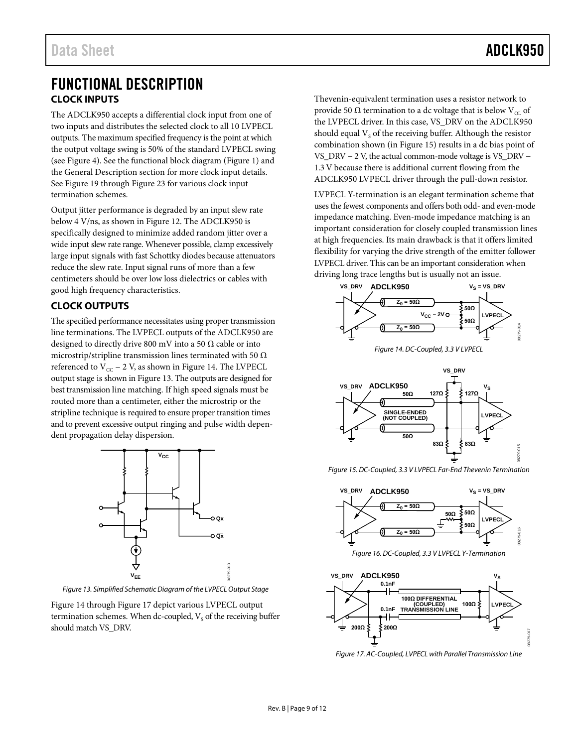### <span id="page-8-1"></span><span id="page-8-0"></span>FUNCTIONAL DESCRIPTION **CLOCK INPUTS**

The ADCLK950 accepts a differential clock input from one of two inputs and distributes the selected clock to all 10 LVPECL outputs. The maximum specified frequency is the point at which the output voltage swing is 50% of the standard LVPECL swing (see [Figure 4\)](#page-6-1). See the functional block diagram [\(Figure 1\)](#page-0-4) and the General Description section for more clock input details. See [Figure 19](#page-10-1) throug[h Figure 23](#page-10-2) for various clock input termination schemes.

Output jitter performance is degraded by an input slew rate below 4 V/ns, as shown in [Figure 12.](#page-7-1) The ADCLK950 is specifically designed to minimize added random jitter over a wide input slew rate range. Whenever possible, clamp excessively large input signals with fast Schottky diodes because attenuators reduce the slew rate. Input signal runs of more than a few centimeters should be over low loss dielectrics or cables with good high frequency characteristics.

### <span id="page-8-2"></span>**CLOCK OUTPUTS**

The specified performance necessitates using proper transmission line terminations. The LVPECL outputs of the ADCLK950 are designed to directly drive 800 mV into a 50  $\Omega$  cable or into microstrip/stripline transmission lines terminated with 50  $\Omega$ referenced to  $V_{CC}$  – 2 V, as shown in [Figure 14.](#page-8-3) The LVPECL output stage is shown i[n Figure 13.](#page-8-4) The outputs are designed for best transmission line matching. If high speed signals must be routed more than a centimeter, either the microstrip or the stripline technique is required to ensure proper transition times and to prevent excessive output ringing and pulse width dependent propagation delay dispersion.



<span id="page-8-4"></span>*Figure 13. Simplified Schematic Diagram of the LVPECL Output Stage*

[Figure 14](#page-8-3) throug[h Figure 17](#page-8-5) depict various LVPECL output termination schemes. When dc-coupled,  $V<sub>s</sub>$  of the receiving buffer should match VS\_DRV.

Thevenin-equivalent termination uses a resistor network to provide 50 Ω termination to a dc voltage that is below  $V_{\text{OL}}$  of the LVPECL driver. In this case, VS\_DRV on the ADCLK950 should equal  $V_s$  of the receiving buffer. Although the resistor combination shown (i[n Figure 15\)](#page-8-6) results in a dc bias point of VS\_DRV − 2 V, the actual common-mode voltage is VS\_DRV − 1.3 V because there is additional current flowing from the ADCLK950 LVPECL driver through the pull-down resistor.

LVPECL Y-termination is an elegant termination scheme that uses the fewest components and offers both odd- and even-mode impedance matching. Even-mode impedance matching is an important consideration for closely coupled transmission lines at high frequencies. Its main drawback is that it offers limited flexibility for varying the drive strength of the emitter follower LVPECL driver. This can be an important consideration when driving long trace lengths but is usually not an issue.



<span id="page-8-3"></span>

<span id="page-8-6"></span>*Figure 15. DC-Coupled, 3.3 V LVPECL Far-End Thevenin Termination*



*Figure 16. DC-Coupled, 3.3 V LVPECL Y-Termination*



<span id="page-8-5"></span>*Figure 17. AC-Coupled, LVPECL with Parallel Transmission Line*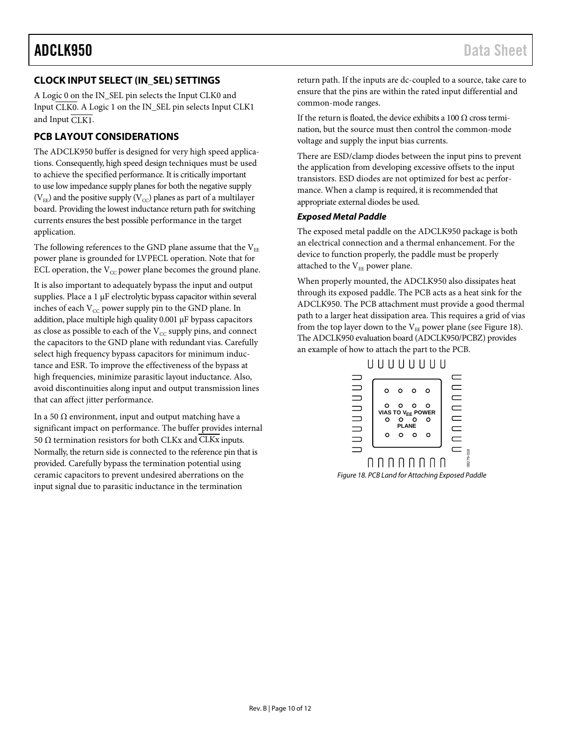### <span id="page-9-0"></span>**CLOCK INPUT SELECT (IN\_SEL) SETTINGS**

A Logic 0 on the IN\_SEL pin selects the Input CLK0 and Input CLK0. A Logic 1 on the IN\_SEL pin selects Input CLK1 and Input CLK1.

### <span id="page-9-1"></span>**PCB LAYOUT CONSIDERATIONS**

The ADCLK950 buffer is designed for very high speed applications. Consequently, high speed design techniques must be used to achieve the specified performance. It is critically important to use low impedance supply planes for both the negative supply ( $V_{EE}$ ) and the positive supply ( $V_{CC}$ ) planes as part of a multilayer board. Providing the lowest inductance return path for switching currents ensures the best possible performance in the target application.

The following references to the GND plane assume that the  $V_{EE}$ power plane is grounded for LVPECL operation. Note that for ECL operation, the  $V_{CC}$  power plane becomes the ground plane.

It is also important to adequately bypass the input and output supplies. Place a 1 µF electrolytic bypass capacitor within several inches of each  $V_{CC}$  power supply pin to the GND plane. In addition, place multiple high quality 0.001 µF bypass capacitors as close as possible to each of the  $V_{CC}$  supply pins, and connect the capacitors to the GND plane with redundant vias. Carefully select high frequency bypass capacitors for minimum inductance and ESR. To improve the effectiveness of the bypass at high frequencies, minimize parasitic layout inductance. Also, avoid discontinuities along input and output transmission lines that can affect jitter performance.

In a 50  $Ω$  environment, input and output matching have a significant impact on performance. The buffer provides internal 50 Ω termination resistors for both CLKx and  $\overline{\text{CLKx}}$  inputs. Normally, the return side is connected to the reference pin that is provided. Carefully bypass the termination potential using ceramic capacitors to prevent undesired aberrations on the input signal due to parasitic inductance in the termination

return path. If the inputs are dc-coupled to a source, take care to ensure that the pins are within the rated input differential and common-mode ranges.

If the return is floated, the device exhibits a 100  $\Omega$  cross termination, but the source must then control the common-mode voltage and supply the input bias currents.

There are ESD/clamp diodes between the input pins to prevent the application from developing excessive offsets to the input transistors. ESD diodes are not optimized for best ac performance. When a clamp is required, it is recommended that appropriate external diodes be used.

### *Exposed Metal Paddle*

The exposed metal paddle on the ADCLK950 package is both an electrical connection and a thermal enhancement. For the device to function properly, the paddle must be properly attached to the  $V_{EF}$  power plane.

When properly mounted, the ADCLK950 also dissipates heat through its exposed paddle. The PCB acts as a heat sink for the ADCLK950. The PCB attachment must provide a good thermal path to a larger heat dissipation area. This requires a grid of vias from the top layer down to the  $V_{EE}$  power plane (see [Figure 18\)](#page-9-2). The ADCLK950 evaluation board (ADCLK950/PCBZ) provides an example of how to attach the part to the PCB.



<span id="page-9-2"></span>*Figure 18. PCB Land for Attaching Exposed Paddle*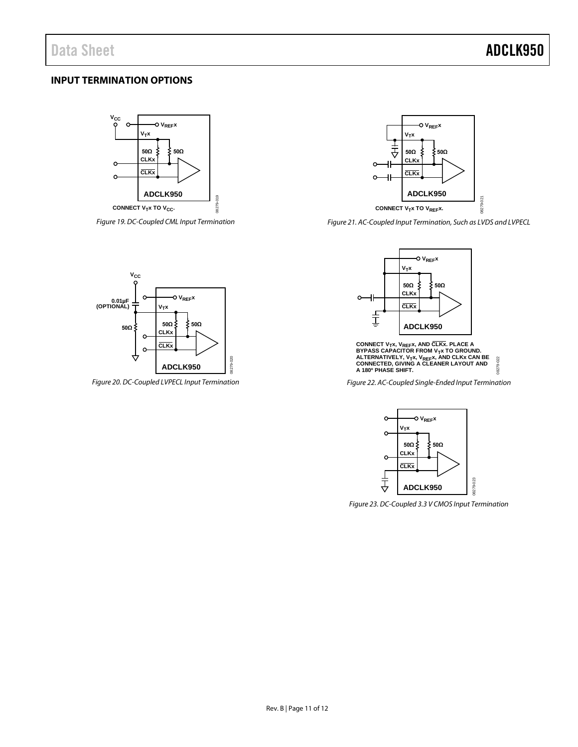### <span id="page-10-0"></span>**INPUT TERMINATION OPTIONS**



<span id="page-10-1"></span>*Figure 19. DC-Coupled CML Input Termination*



*Figure 20. DC-Coupled LVPECL Input Termination*



*Figure 21. AC-Coupled Input Termination, Such as LVDS and LVPECL*



**CONNECT V<sub>T</sub>x, V<sub>REF</sub>x, AND CLKX. PLACE A** BYPASS CAPACITOR FROM V<sub>T</sub>x TO GROUND.<br>ALTERNATIVELY, V<sub>T</sub>x, V<sub>REF</sub>x, AND CLKx CAN BE<br>CONNECTED, GIVING A CLEANER LAYOUT AND 8279-022 08279-022 **A 180º PHASE SHIFT.**

*Figure 22. AC-Coupled Single-Ended Input Termination*



<span id="page-10-2"></span>*Figure 23. DC-Coupled 3.3 V CMOS Input Termination*